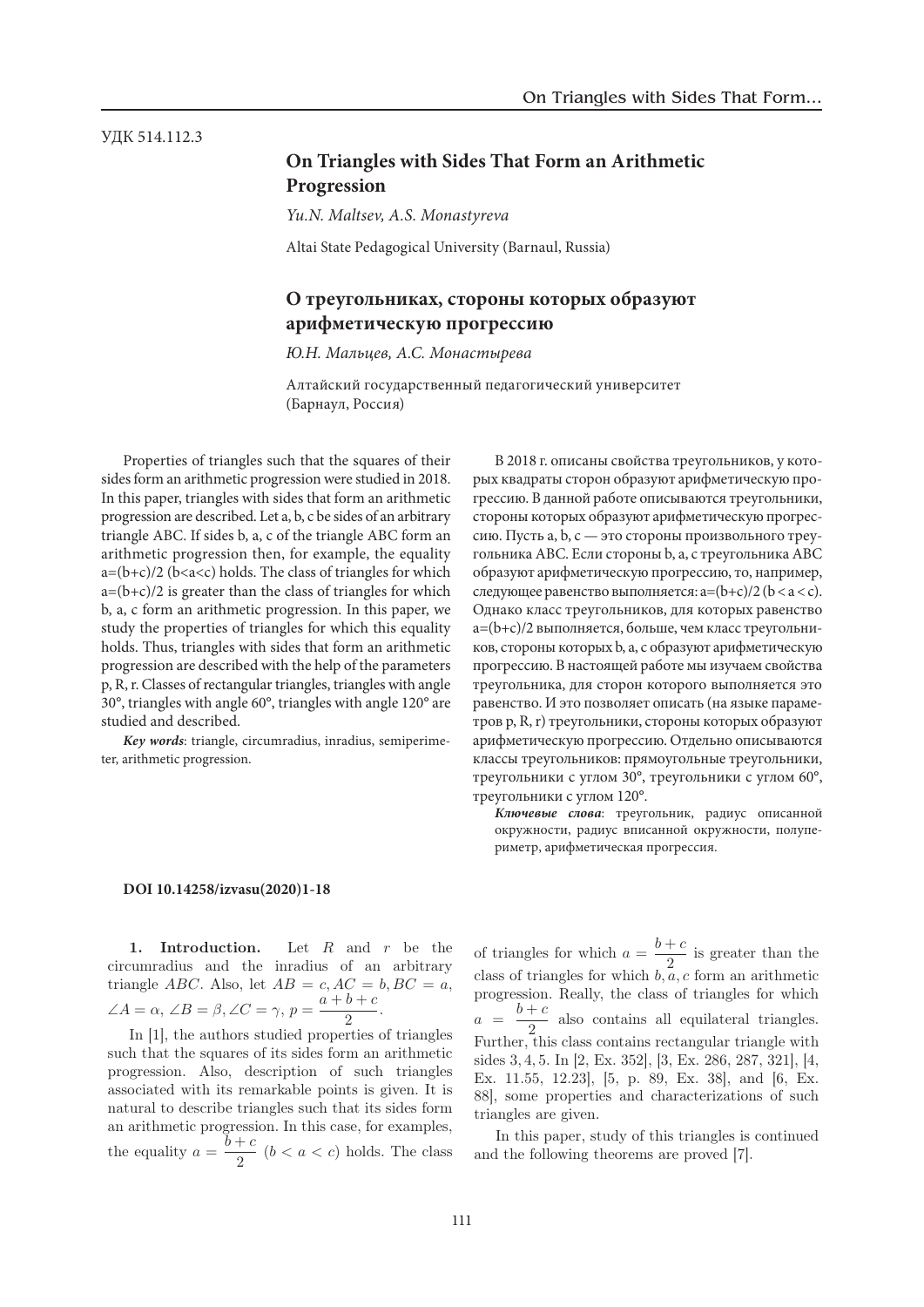# УДК 514.112.3

УДК 514.112.3

# **On Triangles with Sides That Form an Arithmetic Progression** *Ю.Н. Мальцев <sup>1</sup>, А.С. Монастырева <sup>2</sup>*

*Yu.N. Maltsev, A.S. Monastyreva* 2 Anti-January R.S. Brondstyreva

Altai State Pedagogical University (Barnaul, Russia)

# **О треугольниках, стороны которых образуют**  Progression **арифметическую прогрессию**  *Yu.N. Maltsev <sup>1</sup>, A.S. Monastyreva <sup>2</sup>*

*Ю.Н. Мальцев, А.С. Монастырева*  <sup>1</sup> Altai State Pedagogical University (Barnaul, Russia) гі. мальцев, А.С. монастырева

Алтайский государственный педагогический университет (Барнаул, Россия)  $\mathcal{L} = \{v_1, v_2, \ldots, v_n\}$ 

Properties of triangles such that the squares of their Troperies of thanges such that the squares of them sides form an arithmetic progression were studied in 2018. In this paper, triangles with sides that form an arithmetic In this paper, triangles with sides that form an arithmetic progression are described. Let a, b, c be sides of an arbitrary<br> triangle ABC. If sides b, a, c of the triangle ABC form an arithmetic progression then, for example, the equality arithmetic progression then, for example, the equality  $a=(b+c)/2$  (b<a<c) holds. The class of triangles for which  $a=(b+c)/2$  is greater than the class of triangles for which b, a, c form an arithmetic progression. In this paper, we b, a, c form an arithmetic progression. In this paper, we study the properties of triangles for which this equality holds. Thus, triangles with sides that form an arithmetic holds. notes. Thus, transfer with stees that form an arrangered progression are described with the help of the parameters progression are described with the help of the parameters p, R, r. Classes of rectangular triangles, triangles with angle p, K, I. Classes of rectangular triangles, triangles with angle 120° are 30°, triangles with angle 120° are studied and described. н инз рарст, triangles with sides that form an artificite  $\sigma$ , triangles with angle  $\sigma$ , triangles with angle 120 are

rudied and described.<br>*Key words*: triangle, circumradius, inradius, semiperimeter, arithmetic progression. **Rey words:** triangle, circumradius, inradius, semiperime-

В 2018 г. описаны свойства треугольников, у которых квадраты сторон образуют арифметическую прорых квадраты сторон ооразуют арифмети тескую про<br>грессию. В данной работе описываются треугольники, стороны которых образуют арифметическую прогресстороны которых ооразуют арифистическую прогрес-<br>сию. Пусть a, b, c — это стороны произвольного треугольника АВС. Если стороны b, a, с треугольника АВС образуют арифметическую прогрессию, то, например, следующее равенство выполняется:  $a=(b+c)/2$  ( $b < a < c$ ). Однако класс треугольников, для которых равенство а=(b+с)/2 выполняется, больше, чем класс треугольников, стороны которых b, a, с образуют арифметическую прогрессию. В настоящей работе мы изучаем свойства т и полника, для сторон которого выполняется это ерезоленным, для стер са истории описать статьянство ставительно стать развенство. И это позволяет описать (на языке параметров p, R, r) треугольники, стороны которых образуют арифметическую прогрессию. Отдельно описываются классы треугольников: прямоугольные треугольники, треугольники с углом 30°, треугольники с углом 60°, треугольники с углом 120°. sides b, and the triangle above the triangle and the triangle and are the triangle and are the triangle and ari

*Ключевые слова*: треугольник, радиус описанной окружности, радиус вписанной окружности, полупериметр, арифметическая прогрессия.

# **DOI 10.14258/izvasu(2020)1-18** DOI

1. Introduction. Let  $R$  and  $r$  be the circumradius and the inradius of an arbitrary triangle *ABC*. Also, let  $AB = c$ ,  $AC = b$ ,  $BC = a$ ,  $\angle A = \alpha, \angle B = \beta, \angle C = \gamma, p = \frac{a+b+c}{2}.$ 

In [1], the authors studied properties of triangles such that the squares of its sides form an arithmetic progression. Also, description of such triangles associated with its remarkable points is given. It is natural to describe triangles such that its sides form an arithmetic progression. In this case, for examples, the equality  $a = \frac{b+c}{2}$   $(b < a < c)$  holds. The class

of triangles for which  $a = \frac{b+c}{2}$  is greater than the class of triangles for which  $b, a, c$  form an arithmetic progression. Really, the class of triangles for which  $a = \frac{b+c}{2}$  also contains all equilateral triangles. Further, this class contains rectangular triangle with sides 3, 4, 5. In [2, Ex. 352], [3, Ex. 286, 287, 321], [4, Ex. 11.55, 12.23], [5, p. 89, Ex. 38], and [6, Ex. 88], some properties and characterizations of such triangles are given.

In this paper, study of this triangles is continued and the following theorems are proved [7].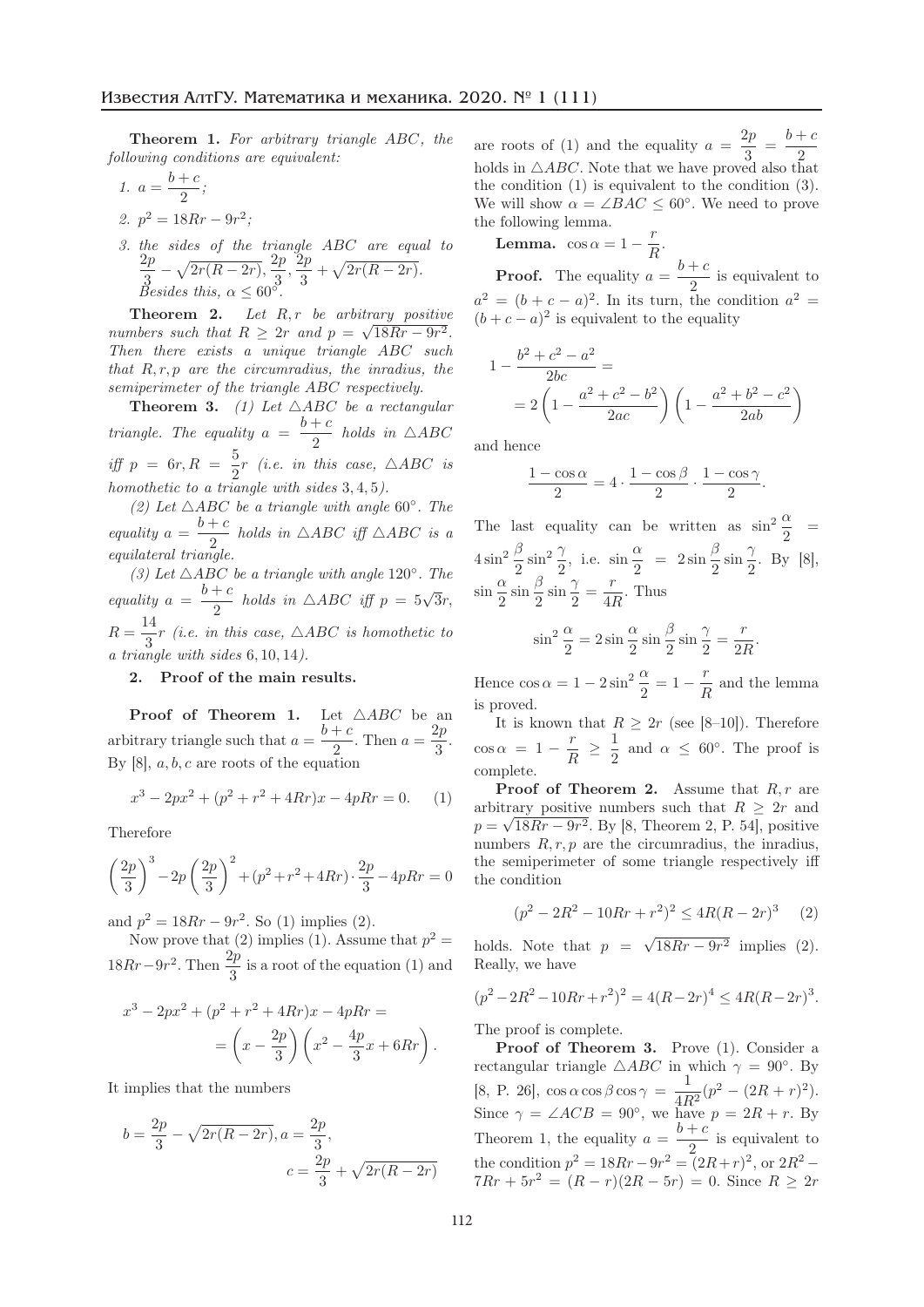Theorem 1. *For arbitrary triangle* ABC*, the following conditions are equivalent:*

1. 
$$
a = \frac{b+c}{2}
$$
;  
\n2.  $p^2 = 18Rr - 9r^2$ ;  
\n3.  $d = \frac{1}{2}r^2 + \frac{1}{2}r^2 + \frac{1}{2}r^2 + \frac{1}{2}r^2 + \frac{1}{2}r^2 + \frac{1}{2}r^2 + \frac{1}{2}r^2 + \frac{1}{2}r^2 + \frac{1}{2}r^2 + \frac{1}{2}r^2 + \frac{1}{2}r^2 + \frac{1}{2}r^2 + \frac{1}{2}r^2 + \frac{1}{2}r^2 + \frac{1}{2}r^2 + \frac{1}{2}r^2 + \frac{1}{2}r^2 + \frac{1}{2}r^2 + \frac{1}{2}r^2 + \frac{1}{2}r^2 + \frac{1}{2}r^2 + \frac{1}{2}r^2 + \frac{1}{2}r^2 + \frac{1}{2}r^2 + \frac{1}{2}r^2 + \frac{1}{2}r^2 + \frac{1}{2}r^2 + \frac{1}{2}r^2 + \frac{1}{2}r^2 + \frac{1}{2}r^2 + \frac{1}{2}r^2 + \frac{1}{2}r^2 + \frac{1}{2}r^2 + \frac{1}{2}r^2 + \frac{1}{2}r^2 + \frac{1}{2}r^2 + \frac{1}{2}r^2 + \frac{1}{2}r^2 + \frac{1}{2}r^2 + \frac{1}{2}r^2 + \frac{1}{2}r^2 + \frac{1}{2}r^2 + \frac{1}{2}r^2 + \frac{1}{2}r^2 + \frac{1}{2}r^2 + \frac{1}{2}r^2 + \frac{1}{2}r^2 + \frac{1}{2}r^2 + \frac{1}{2}r^2 + \frac{1}{2}r^2 + \frac{1}{2}r^2 + \frac{1}{2}r^2 + \frac{1}{2}r^2 + \frac{1}{2}r^2 + \frac{1}{2}r^2 + \frac{1}{2}r^2 + \frac{1}{2}r^2 + \frac{1}{2}r^2 + \frac{1}{2}r^2 + \frac{1}{2}r^2 + \frac{1}{2}r^2 + \frac{1}{2}r^2 + \frac{1}{2}r^2 + \frac{1}{2}r^2 + \frac{1}{2}r^$ 

*3. the sides of the triangle* ABC *are equal to*  $\frac{2p}{3} - \sqrt{2r(R-2r)}, \frac{2p}{3}, \frac{2p}{3} + \sqrt{2r(R-2r)}.$ *Besides this,*  $\alpha \leq 60^{\circ}$ *.* 

Theorem 2. Let R, r be arbitrary positive *numbers such that*  $R > 2r$  *and*  $p = \sqrt{18Rr - 9r^2}$ . *Then there exists a unique triangle* ABC *such that* R, r, p *are the circumradius, the inradius, the semiperimeter of the triangle* ABC *respectively.*

**Theorem 3.** (1) Let  $\triangle ABC$  be a rectangular *triangle. The equality*  $a = \frac{b+c}{2}$  *holds in*  $\triangle ABC$ *iff*  $p = 6r, R = \frac{5}{2}r$  (*i.e. in this case,*  $\triangle ABC$  *is homothetic to a triangle with sides* 3, 4, 5*).*

*(2) Let*  $\triangle ABC$  *be a triangle with angle* 60°*. The equality*  $a = \frac{b+c}{2}$  *holds in*  $\triangle ABC$  *iff*  $\triangle ABC$  *is a equilateral triangle.*

*(3) Let*  $\triangle ABC$  *be a triangle with angle* 120°*. The equality*  $a = \frac{b+c}{2}$  *holds in*  $\triangle ABC$  *iff*  $p = 5\sqrt{3}r$ ,  $R = \frac{14}{3}r$  (*i.e. in this case,*  $\triangle ABC$  *is homothetic to a triangle with sides* 6, 10, 14*).*

#### 2. Proof of the main results.

**Proof of Theorem 1.** Let  $\triangle ABC$  be an arbitrary triangle such that  $a = \frac{b+c}{2}$ . Then  $a = \frac{2p}{3}$ . By  $[8]$ ,  $a, b, c$  are roots of the equation

$$
x^3 - 2px^2 + (p^2 + r^2 + 4Rr)x - 4pRr = 0.
$$
 (1)

Therefore

$$
\left(\frac{2p}{3}\right)^3 - 2p\left(\frac{2p}{3}\right)^2 + (p^2 + r^2 + 4Rr) \cdot \frac{2p}{3} - 4pRr = 0
$$

and  $p^2 = 18Rr - 9r^2$ . So (1) implies (2).

Now prove that (2) implies (1). Assume that  $p^2 =$  $18Rr-9r^2$ . Then  $\frac{2p}{3}$  is a root of the equation (1) and

$$
x^3 - 2px^2 + (p^2 + r^2 + 4Rr)x - 4pRr =
$$
  
=  $\left(x - \frac{2p}{3}\right)\left(x^2 - \frac{4p}{3}x + 6Rr\right).$ 

It implies that the numbers

$$
b = \frac{2p}{3} - \sqrt{2r(R - 2r)}, a = \frac{2p}{3},
$$
  

$$
c = \frac{2p}{3} + \sqrt{2r(R - 2r)}
$$

are roots of (1) and the equality  $a = \frac{2p}{3} = \frac{b+c}{3}$ holds in  $\triangle ABC$ . Note that we have proved also that the condition (1) is equivalent to the condition (3). We will show  $\alpha = \angle BAC \leq 60^{\circ}$ . We need to prove the following lemma.

**Lemma.**  $\cos \alpha = 1 - \frac{r}{R}$ .

**Proof.** The equality  $a = \frac{b+c}{2}$  is equivalent to  $a^2 = (b + c - a)^2$ . In its turn, the condition  $a^2 =$  $(b + c - a)^2$  is equivalent to the equality

$$
1 - \frac{b^2 + c^2 - a^2}{2bc} =
$$
  
=  $2\left(1 - \frac{a^2 + c^2 - b^2}{2ac}\right)\left(1 - \frac{a^2 + b^2 - c^2}{2ab}\right)$ 

and hence

$$
\frac{1-\cos\alpha}{2}=4\cdot\frac{1-\cos\beta}{2}\cdot\frac{1-\cos\gamma}{2}.
$$

The last equality can be written as  $\sin^2 \frac{\alpha}{2}$  =  $4\sin^2\frac{\beta}{2}\sin^2\frac{\gamma}{2}$ , i.e.  $\sin\frac{\alpha}{2} = 2\sin\frac{\beta}{2}\sin\frac{\gamma}{2}$ . By [8],  $\sin \frac{\alpha}{2} \sin \frac{\beta}{2} \sin \frac{\gamma}{2} = \frac{r}{4R}$ . Thus

$$
\sin^2 \frac{\alpha}{2} = 2 \sin \frac{\alpha}{2} \sin \frac{\beta}{2} \sin \frac{\gamma}{2} = \frac{r}{2R}.
$$

Hence  $\cos \alpha = 1 - 2\sin^2 \frac{\alpha}{2} = 1 - \frac{r}{R}$  and the lemma is proved.

It is known that  $R \geq 2r$  (see [8–10]). Therefore  $\cos \alpha = 1 - \frac{r}{R}$ 1  $\frac{1}{2}$  and  $\alpha \leq 60^{\circ}$ . The proof is complete.

**Proof of Theorem 2.** Assume that  $R, r$  are arbitrary positive numbers such that  $R \geq 2r$  and  $p = \sqrt{18Rr - 9r^2}$ . By [8, Theorem 2, P. 54], positive numbers  $R, r, p$  are the circumradius, the inradius, the semiperimeter of some triangle respectively iff the condition

$$
(p2 - 2R2 - 10Rr + r2)2 \le 4R(R - 2r)3
$$
 (2)

holds. Note that  $p = \sqrt{18Rr - 9r^2}$  implies (2). Really, we have

$$
(p2 - 2R2 - 10Rr + r2)2 = 4(R - 2r)4 \le 4R(R - 2r)3.
$$

The proof is complete.

Proof of Theorem 3. Prove (1). Consider a rectangular triangle  $\triangle ABC$  in which  $\gamma = 90^{\circ}$ . By [8, P. 26],  $\cos \alpha \cos \beta \cos \gamma = \frac{1}{4R^2} (p^2 - (2R + r)^2).$ Since  $\gamma = \angle ACB = 90^{\circ}$ , we have  $p = 2R + r$ . By Theorem 1, the equality  $a = \frac{b+c}{2}$  is equivalent to the condition  $p^2 = 18Rr - 9r^2 = (2R+r)^2$ , or  $2R^2$  –  $7Rr + 5r^2 = (R - r)(2R - 5r) = 0$ . Since  $R \geq 2r$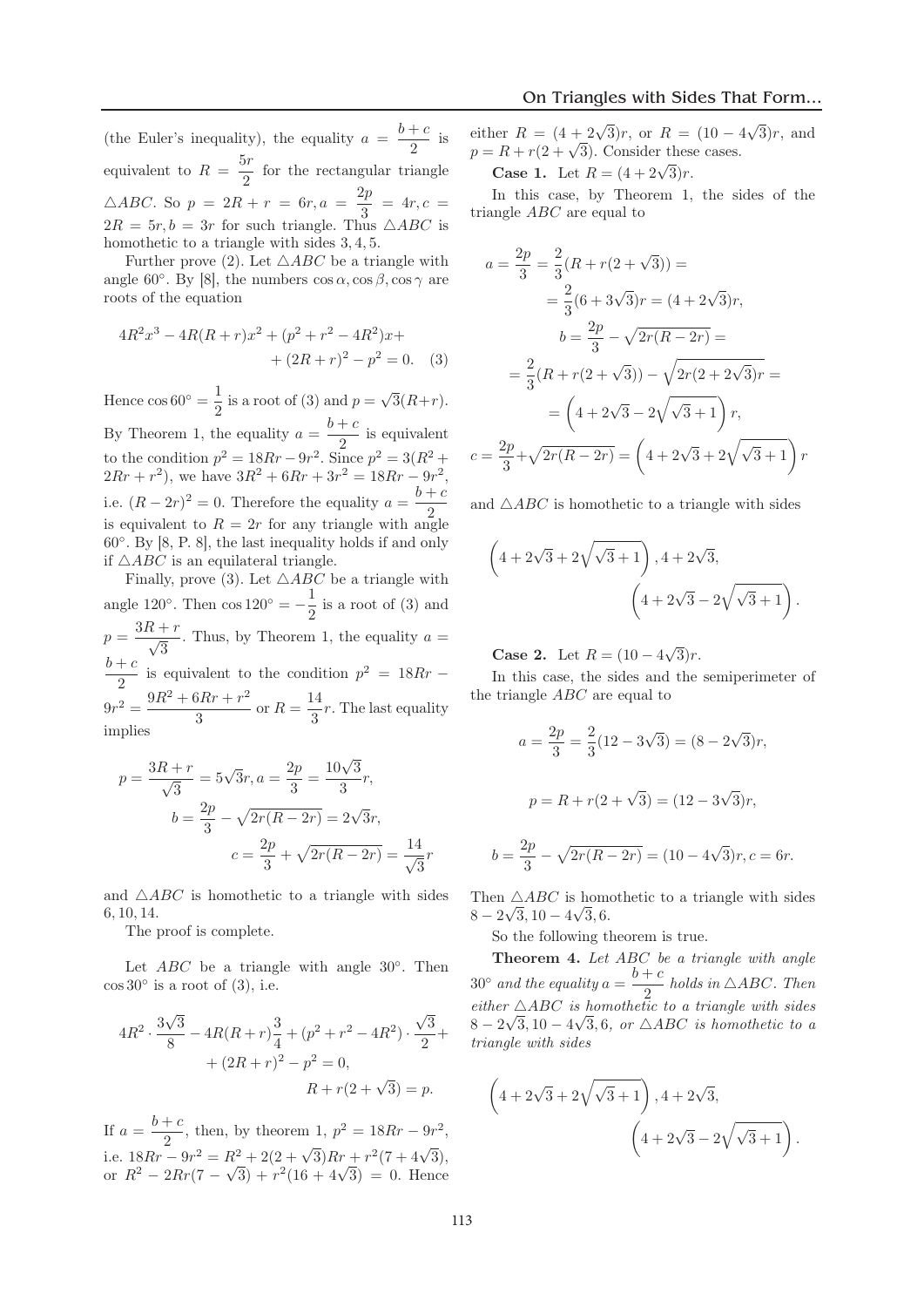(the Euler's inequality), the equality  $a = \frac{b+c}{2}$  is equivalent to  $R = \frac{5r}{2}$  for the rectangular triangle  $\triangle ABC$ . So  $p = 2R + r = 6r, a = \frac{2p}{3} = 4r, c =$  $2R = 5r, b = 3r$  for such triangle. Thus  $\triangle ABC$  is homothetic to a triangle with sides 3, 4, 5.

Further prove (2). Let  $\triangle ABC$  be a triangle with angle 60°. By [8], the numbers  $\cos \alpha$ ,  $\cos \beta$ ,  $\cos \gamma$  are roots of the equation

$$
4R^{2}x^{3} - 4R(R+r)x^{2} + (p^{2} + r^{2} - 4R^{2})x +
$$

$$
+ (2R+r)^{2} - p^{2} = 0. \quad (3)
$$

Hence  $\cos 60^\circ = \frac{1}{2}$  is a root of (3) and  $p = \sqrt{3}(R+r)$ . By Theorem 1, the equality  $a = \frac{b+c}{2}$  is equivalent to the condition  $p^2 = 18Rr - 9r^2$ . Since  $p^2 = 3(R^2 +$  $2Rr + r^2$ , we have  $3R^2 + 6Rr + 3r^2 = 18Rr - 9r^2$ , i.e.  $(R-2r)^2 = 0$ . Therefore the equality  $a = \frac{b+c}{2}$ is equivalent to  $R = 2r$  for any triangle with angle 60◦. By [8, P. 8], the last inequality holds if and only if  $\triangle ABC$  is an equilateral triangle.

Finally, prove (3). Let  $\triangle ABC$  be a triangle with angle 120<sup>°</sup>. Then  $\cos 120^\circ = -\frac{1}{2}$  is a root of (3) and  $p = \frac{3R + r}{\sqrt{3}}$ . Thus, by Theorem 1, the equality  $a =$  $\frac{b+c}{2}$  is equivalent to the condition  $p^2 = 18Rr 9r^2 = \frac{9R^2 + 6Rr + r^2}{3}$  or  $R = \frac{14}{3}r$ . The last equality implies

$$
p = \frac{3R + r}{\sqrt{3}} = 5\sqrt{3}r, a = \frac{2p}{3} = \frac{10\sqrt{3}}{3}r,
$$
  

$$
b = \frac{2p}{3} - \sqrt{2r(R - 2r)} = 2\sqrt{3}r,
$$
  

$$
c = \frac{2p}{3} + \sqrt{2r(R - 2r)} = \frac{14}{\sqrt{3}}r
$$

and  $\triangle ABC$  is homothetic to a triangle with sides 6, 10, 14.

The proof is complete.

Let  $ABC$  be a triangle with angle 30°. Then  $\cos 30^\circ$  is a root of (3), i.e.

$$
4R^2 \cdot \frac{3\sqrt{3}}{8} - 4R(R+r)\frac{3}{4} + (p^2 + r^2 - 4R^2) \cdot \frac{\sqrt{3}}{2} +
$$
  
+  $(2R+r)^2 - p^2 = 0$ ,  
 $R + r(2 + \sqrt{3}) = p$ .

If  $a = \frac{b+c}{2}$ , then, by theorem 1,  $p^2 = 18Rr - 9r^2$ , i.e.  $18Rr - 9r^2 = R^2 + 2(2+\sqrt{3})Rr + r^2(7+4\sqrt{3}),$ or  $R^2 - 2Rr(7 - \sqrt{3}) + r^2(16 + 4\sqrt{3}) = 0$ . Hence

either  $R = (4 + 2\sqrt{3})r$ , or  $R = (10 - 4\sqrt{3})r$ , and  $p = R + r(2 + \sqrt{3})$ . Consider these cases.

**Case 1.** Let  $R = (4 + 2\sqrt{3})r$ .

In this case, by Theorem 1, the sides of the triangle ABC are equal to

$$
a = \frac{2p}{3} = \frac{2}{3}(R + r(2 + \sqrt{3})) =
$$
  

$$
= \frac{2}{3}(6 + 3\sqrt{3})r = (4 + 2\sqrt{3})r,
$$
  

$$
b = \frac{2p}{3} - \sqrt{2r(R - 2r)} =
$$
  

$$
= \frac{2}{3}(R + r(2 + \sqrt{3})) - \sqrt{2r(2 + 2\sqrt{3})r} =
$$
  

$$
= \left(4 + 2\sqrt{3} - 2\sqrt{\sqrt{3} + 1}\right)r,
$$
  

$$
c = \frac{2p}{3} + \sqrt{2r(R - 2r)} = \left(4 + 2\sqrt{3} + 2\sqrt{\sqrt{3} + 1}\right)r
$$

and  $\triangle ABC$  is homothetic to a triangle with sides

$$
\left(4+2\sqrt{3}+2\sqrt{\sqrt{3}+1}\right),4+2\sqrt{3},
$$

$$
\left(4+2\sqrt{3}-2\sqrt{\sqrt{3}+1}\right).
$$

**Case 2.** Let  $R = (10 - 4\sqrt{3})r$ .

In this case, the sides and the semiperimeter of the triangle ABC are equal to

$$
a = \frac{2p}{3} = \frac{2}{3}(12 - 3\sqrt{3}) = (8 - 2\sqrt{3})r,
$$
  

$$
p = R + r(2 + \sqrt{3}) = (12 - 3\sqrt{3})r,
$$
  

$$
= \frac{2p}{3} - \sqrt{2r(R - 2r)} = (10 - 4\sqrt{3})r, c = 6r.
$$

Then  $\triangle ABC$  is homothetic to a triangle with sides  $8 - 2\sqrt{3}, 10 - 4\sqrt{3}, 6.$ 

So the following theorem is true.

Theorem 4. *Let* ABC *be a triangle with angle*  $30^\circ$  *and the equality*  $a = \frac{b+c}{2}$  *holds in*  $\triangle ABC$ *. Then*  $either \triangle ABC$  *is homothetic to a triangle with sides*  $8 - 2\sqrt{3}, 10 - 4\sqrt{3}, 6, or \triangle ABC$  *is homothetic to a triangle with sides*

$$
\left(4 + 2\sqrt{3} + 2\sqrt{\sqrt{3} + 1}\right), 4 + 2\sqrt{3},
$$

$$
\left(4 + 2\sqrt{3} - 2\sqrt{\sqrt{3} + 1}\right).
$$

 $\boldsymbol{b}$